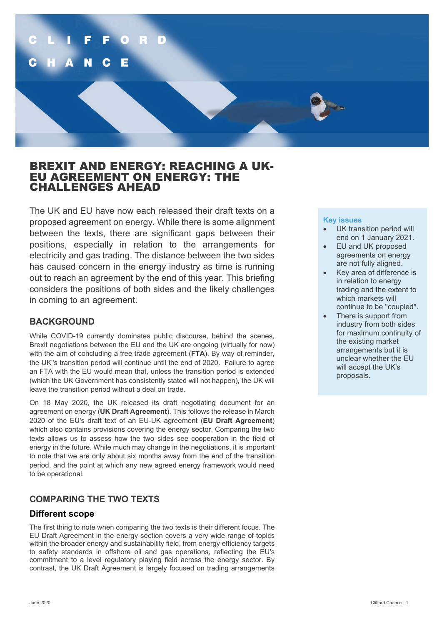

# BREXIT AND ENERGY: REACHING A UK- EU AGREEMENT ON ENERGY: THE CHALLENGES AHEAD

The UK and EU have now each released their draft texts on a proposed agreement on energy. While there is some alignment between the texts, there are significant gaps between their positions, especially in relation to the arrangements for electricity and gas trading. The distance between the two sides has caused concern in the energy industry as time is running out to reach an agreement by the end of this year. This briefing considers the positions of both sides and the likely challenges in coming to an agreement.

## **BACKGROUND**

While COVID-19 currently dominates public discourse, behind the scenes, Brexit negotiations between the EU and the UK are ongoing (virtually for now) with the aim of concluding a free trade agreement (**FTA**). By way of reminder, the UK''s transition period will continue until the end of 2020. Failure to agree an FTA with the EU would mean that, unless the transition period is extended (which the UK Government has consistently stated will not happen), the UK will leave the transition period without a deal on trade.

On 18 May 2020, the UK released its draft negotiating document for an agreement on energy (**UK Draft Agreement**). This follows the release in March 2020 of the EU's draft text of an EU-UK agreement (**EU Draft Agreement**) which also contains provisions covering the energy sector. Comparing the two texts allows us to assess how the two sides see cooperation in the field of energy in the future. While much may change in the negotiations, it is important to note that we are only about six months away from the end of the transition period, and the point at which any new agreed energy framework would need to be operational.

# **COMPARING THE TWO TEXTS**

## **Different scope**

The first thing to note when comparing the two texts is their different focus. The EU Draft Agreement in the energy section covers a very wide range of topics within the broader energy and sustainability field, from energy efficiency targets to safety standards in offshore oil and gas operations, reflecting the EU's commitment to a level regulatory playing field across the energy sector. By contrast, the UK Draft Agreement is largely focused on trading arrangements

### **Key issues**

- UK transition period will end on 1 January 2021.
- EU and UK proposed agreements on energy are not fully aligned.
- Key area of difference is in relation to energy trading and the extent to which markets will continue to be "coupled".
- There is support from industry from both sides for maximum continuity of the existing market arrangements but it is unclear whether the EU will accept the UK's proposals.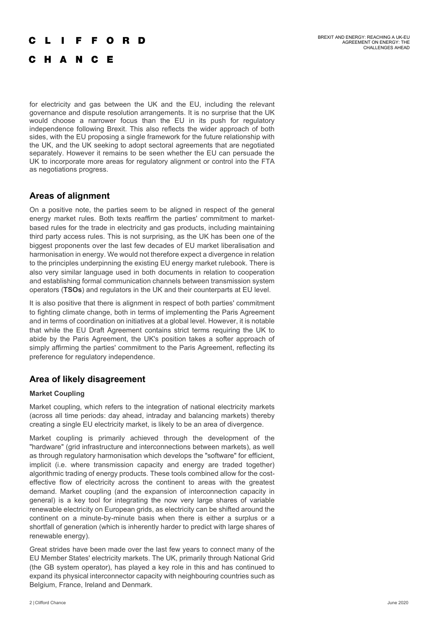#### BREXIT AND ENERGY: REACHING A UK-EU AGREEMENT ON ENERGY: THE CHALLENGES AHEAD

#### E  $\Omega$ R D

C H A N C E

for electricity and gas between the UK and the EU, including the relevant governance and dispute resolution arrangements. It is no surprise that the UK would choose a narrower focus than the EU in its push for regulatory independence following Brexit. This also reflects the wider approach of both sides, with the EU proposing a single framework for the future relationship with the UK, and the UK seeking to adopt sectoral agreements that are negotiated separately. However it remains to be seen whether the EU can persuade the UK to incorporate more areas for regulatory alignment or control into the FTA as negotiations progress.

### **Areas of alignment**

On a positive note, the parties seem to be aligned in respect of the general energy market rules. Both texts reaffirm the parties' commitment to marketbased rules for the trade in electricity and gas products, including maintaining third party access rules. This is not surprising, as the UK has been one of the biggest proponents over the last few decades of EU market liberalisation and harmonisation in energy. We would not therefore expect a divergence in relation to the principles underpinning the existing EU energy market rulebook. There is also very similar language used in both documents in relation to cooperation and establishing formal communication channels between transmission system operators (**TSOs**) and regulators in the UK and their counterparts at EU level.

It is also positive that there is alignment in respect of both parties' commitment to fighting climate change, both in terms of implementing the Paris Agreement and in terms of coordination on initiatives at a global level. However, it is notable that while the EU Draft Agreement contains strict terms requiring the UK to abide by the Paris Agreement, the UK's position takes a softer approach of simply affirming the parties' commitment to the Paris Agreement, reflecting its preference for regulatory independence.

## **Area of likely disagreement**

### **Market Coupling**

Market coupling, which refers to the integration of national electricity markets (across all time periods: day ahead, intraday and balancing markets) thereby creating a single EU electricity market, is likely to be an area of divergence.

Market coupling is primarily achieved through the development of the "hardware" (grid infrastructure and interconnections between markets), as well as through regulatory harmonisation which develops the "software" for efficient, implicit (i.e. where transmission capacity and energy are traded together) algorithmic trading of energy products. These tools combined allow for the costeffective flow of electricity across the continent to areas with the greatest demand. Market coupling (and the expansion of interconnection capacity in general) is a key tool for integrating the now very large shares of variable renewable electricity on European grids, as electricity can be shifted around the continent on a minute-by-minute basis when there is either a surplus or a shortfall of generation (which is inherently harder to predict with large shares of renewable energy).

Great strides have been made over the last few years to connect many of the EU Member States' electricity markets. The UK, primarily through National Grid (the GB system operator), has played a key role in this and has continued to expand its physical interconnector capacity with neighbouring countries such as Belgium, France, Ireland and Denmark.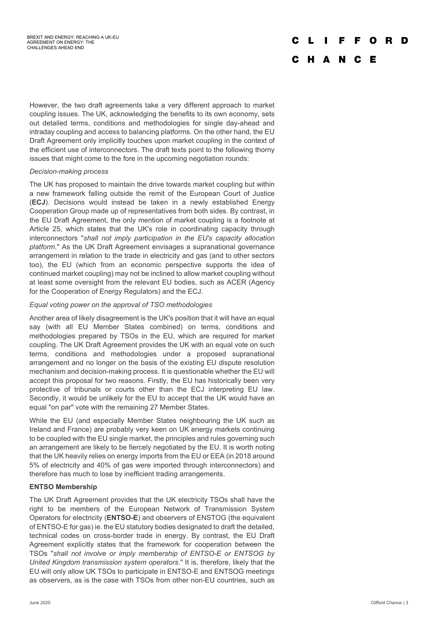#### F F O R D

### C H A N C E

However, the two draft agreements take a very different approach to market coupling issues. The UK, acknowledging the benefits to its own economy, sets out detailed terms, conditions and methodologies for single day-ahead and intraday coupling and access to balancing platforms. On the other hand, the EU Draft Agreement only implicitly touches upon market coupling in the context of the efficient use of interconnectors. The draft texts point to the following thorny issues that might come to the fore in the upcoming negotiation rounds:

#### *Decision-making process*

The UK has proposed to maintain the drive towards market coupling but within a new framework falling outside the remit of the European Court of Justice (**ECJ**). Decisions would instead be taken in a newly established Energy Cooperation Group made up of representatives from both sides. By contrast, in the EU Draft Agreement, the only mention of market coupling is a footnote at Article 25, which states that the UK's role in coordinating capacity through interconnectors "*shall not imply participation in the EU's capacity allocation platform*." As the UK Draft Agreement envisages a supranational governance arrangement in relation to the trade in electricity and gas (and to other sectors too), the EU (which from an economic perspective supports the idea of continued market coupling) may not be inclined to allow market coupling without at least some oversight from the relevant EU bodies, such as ACER (Agency for the Cooperation of Energy Regulators) and the ECJ.

### *Equal voting power on the approval of TSO methodologies*

Another area of likely disagreement is the UK's position that it will have an equal say (with all EU Member States combined) on terms, conditions and methodologies prepared by TSOs in the EU, which are required for market coupling. The UK Draft Agreement provides the UK with an equal vote on such terms, conditions and methodologies under a proposed supranational arrangement and no longer on the basis of the existing EU dispute resolution mechanism and decision-making process. It is questionable whether the EU will accept this proposal for two reasons. Firstly, the EU has historically been very protective of tribunals or courts other than the ECJ interpreting EU law. Secondly, it would be unlikely for the EU to accept that the UK would have an equal "on par" vote with the remaining 27 Member States.

While the EU (and especially Member States neighbouring the UK such as Ireland and France) are probably very keen on UK energy markets continuing to be coupled with the EU single market, the principles and rules governing such an arrangement are likely to be fiercely negotiated by the EU. It is worth noting that the UK heavily relies on energy imports from the EU or EEA (in 2018 around 5% of electricity and 40% of gas were imported through interconnectors) and therefore has much to lose by inefficient trading arrangements.

### **ENTSO Membership**

The UK Draft Agreement provides that the UK electricity TSOs shall have the right to be members of the European Network of Transmission System Operators for electricity (**ENTSO-E**) and observers of ENSTOG (the equivalent of ENTSO-E for gas) ie. the EU statutory bodies designated to draft the detailed, technical codes on cross-border trade in energy. By contrast, the EU Draft Agreement explicitly states that the framework for cooperation between the TSOs "*shall not involve or imply membership of ENTSO-E or ENTSOG by United Kingdom transmission system operators*." It is, therefore, likely that the EU will only allow UK TSOs to participate in ENTSO-E and ENTSOG meetings as observers, as is the case with TSOs from other non-EU countries, such as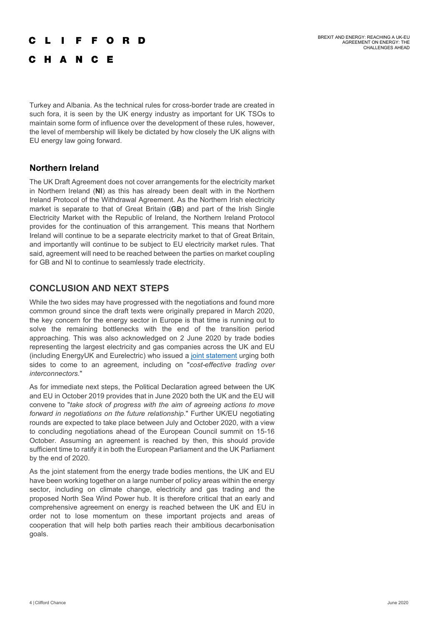#### **FFORD**  $\mathbf{L}$

C H A N C E

Turkey and Albania. As the technical rules for cross-border trade are created in such fora, it is seen by the UK energy industry as important for UK TSOs to maintain some form of influence over the development of these rules, however, the level of membership will likely be dictated by how closely the UK aligns with EU energy law going forward.

## **Northern Ireland**

The UK Draft Agreement does not cover arrangements for the electricity market in Northern Ireland (**NI**) as this has already been dealt with in the Northern Ireland Protocol of the Withdrawal Agreement. As the Northern Irish electricity market is separate to that of Great Britain (**GB**) and part of the Irish Single Electricity Market with the Republic of Ireland, the Northern Ireland Protocol provides for the continuation of this arrangement. This means that Northern Ireland will continue to be a separate electricity market to that of Great Britain, and importantly will continue to be subject to EU electricity market rules. That said, agreement will need to be reached between the parties on market coupling for GB and NI to continue to seamlessly trade electricity.

# **CONCLUSION AND NEXT STEPS**

While the two sides may have progressed with the negotiations and found more common ground since the draft texts were originally prepared in March 2020, the key concern for the energy sector in Europe is that time is running out to solve the remaining bottlenecks with the end of the transition period approaching. This was also acknowledged on 2 June 2020 by trade bodies representing the largest electricity and gas companies across the UK and EU (including EnergyUK and Eurelectric) who issued a [joint statement](https://windeurope.org/wp-content/uploads/files/policy/position-papers/20200603-Joint-statement-EU-and-UK-trade-bodies-call-for-an-efficient-future-energy-EU-UK-relationship.pdf) urging both sides to come to an agreement, including on "*cost-effective trading over interconnectors.*"

As for immediate next steps, the Political Declaration agreed between the UK and EU in October 2019 provides that in June 2020 both the UK and the EU will convene to "*take stock of progress with the aim of agreeing actions to move forward in negotiations on the future relationship*." Further UK/EU negotiating rounds are expected to take place between July and October 2020, with a view to concluding negotiations ahead of the European Council summit on 15-16 October. Assuming an agreement is reached by then, this should provide sufficient time to ratify it in both the European Parliament and the UK Parliament by the end of 2020.

As the joint statement from the energy trade bodies mentions, the UK and EU have been working together on a large number of policy areas within the energy sector, including on climate change, electricity and gas trading and the proposed North Sea Wind Power hub. It is therefore critical that an early and comprehensive agreement on energy is reached between the UK and EU in order not to lose momentum on these important projects and areas of cooperation that will help both parties reach their ambitious decarbonisation goals.